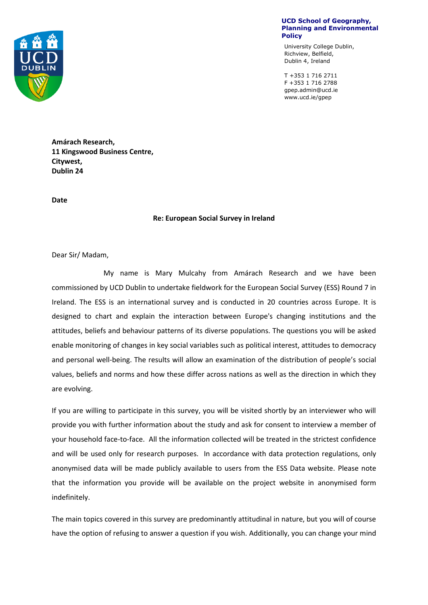

**UCD School of Geography, Planning and Environmental Policy**

University College Dublin, Richview, Belfield, Dublin 4, Ireland

T +353 1 716 2711 F +353 1 716 2788 gpep.admin@ucd.ie www.ucd.ie/gpep

**Amárach Research, 11 Kingswood Business Centre, Citywest, Dublin 24**

**Date** 

## **Re: European Social Survey in Ireland**

Dear Sir/ Madam,

My name is Mary Mulcahy from Amárach Research and we have been commissioned by UCD Dublin to undertake fieldwork for the European Social Survey (ESS) Round 7 in Ireland. The ESS is an international survey and is conducted in 20 countries across Europe. It is designed to chart and explain the interaction between Europe's changing institutions and the attitudes, beliefs and behaviour patterns of its diverse populations. The questions you will be asked enable monitoring of changes in key social variables such as political interest, attitudes to democracy and personal well-being. The results will allow an examination of the distribution of people's social values, beliefs and norms and how these differ across nations as well as the direction in which they are evolving.

If you are willing to participate in this survey, you will be visited shortly by an interviewer who will provide you with further information about the study and ask for consent to interview a member of your household face-to-face. All the information collected will be treated in the strictest confidence and will be used only for research purposes. In accordance with data protection regulations, only anonymised data will be made publicly available to users from the ESS Data website. Please note that the information you provide will be available on the project website in anonymised form indefinitely.

The main topics covered in this survey are predominantly attitudinal in nature, but you will of course have the option of refusing to answer a question if you wish. Additionally, you can change your mind